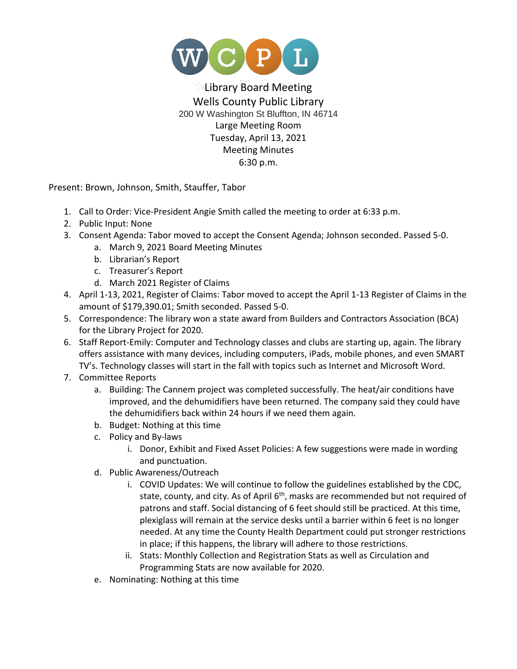

## Library Board Meeting Wells County Public Library 200 W Washington St Bluffton, IN 46714 Large Meeting Room Tuesday, April 13, 2021 Meeting Minutes 6:30 p.m.

Present: Brown, Johnson, Smith, Stauffer, Tabor

- 1. Call to Order: Vice-President Angie Smith called the meeting to order at 6:33 p.m.
- 2. Public Input: None
- 3. Consent Agenda: Tabor moved to accept the Consent Agenda; Johnson seconded. Passed 5-0.
	- a. March 9, 2021 Board Meeting Minutes
	- b. Librarian's Report
	- c. Treasurer's Report
	- d. March 2021 Register of Claims
- 4. April 1-13, 2021, Register of Claims: Tabor moved to accept the April 1-13 Register of Claims in the amount of \$179,390.01; Smith seconded. Passed 5-0.
- 5. Correspondence: The library won a state award from Builders and Contractors Association (BCA) for the Library Project for 2020.
- 6. Staff Report-Emily: Computer and Technology classes and clubs are starting up, again. The library offers assistance with many devices, including computers, iPads, mobile phones, and even SMART TV's. Technology classes will start in the fall with topics such as Internet and Microsoft Word.
- 7. Committee Reports
	- a. Building: The Cannem project was completed successfully. The heat/air conditions have improved, and the dehumidifiers have been returned. The company said they could have the dehumidifiers back within 24 hours if we need them again.
	- b. Budget: Nothing at this time
	- c. Policy and By-laws
		- i. Donor, Exhibit and Fixed Asset Policies: A few suggestions were made in wording and punctuation.
	- d. Public Awareness/Outreach
		- i. COVID Updates: We will continue to follow the guidelines established by the CDC, state, county, and city. As of April  $6<sup>th</sup>$ , masks are recommended but not required of patrons and staff. Social distancing of 6 feet should still be practiced. At this time, plexiglass will remain at the service desks until a barrier within 6 feet is no longer needed. At any time the County Health Department could put stronger restrictions in place; if this happens, the library will adhere to those restrictions.
		- ii. Stats: Monthly Collection and Registration Stats as well as Circulation and Programming Stats are now available for 2020.
	- e. Nominating: Nothing at this time